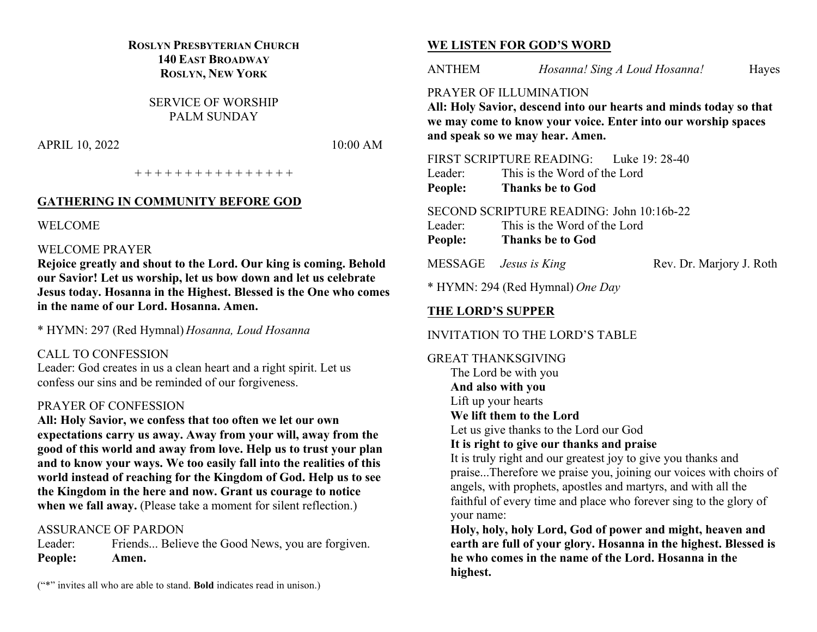## **ROSLYN PRESBYTERIAN CHURCH 140 EAST BROADWAY ROSLYN, NEW YORK**

SERVICE OF WORSHIP PALM SUNDAY

APRIL 10, 2022 10:00 AM

+ + + + + + + + + + + + + + + +

#### **GATHERING IN COMMUNITY BEFORE GOD**

#### WELCOME

#### WELCOME PRAYER

**Rejoice greatly and shout to the Lord. Our king is coming. Behold our Savior! Let us worship, let us bow down and let us celebrate Jesus today. Hosanna in the Highest. Blessed is the One who comes in the name of our Lord. Hosanna. Amen.**

\* HYMN: 297 (Red Hymnal) *Hosanna, Loud Hosanna*

#### CALL TO CONFESSION

Leader: God creates in us a clean heart and a right spirit. Let us confess our sins and be reminded of our forgiveness.

#### PRAYER OF CONFESSION

**All: Holy Savior, we confess that too often we let our own expectations carry us away. Away from your will, away from the good of this world and away from love. Help us to trust your plan and to know your ways. We too easily fall into the realities of this world instead of reaching for the Kingdom of God. Help us to see the Kingdom in the here and now. Grant us courage to notice**  when we fall away. (Please take a moment for silent reflection.)

#### ASSURANCE OF PARDON

Leader: Friends... Believe the Good News, you are forgiven. **People: Amen.**

#### **WE LISTEN FOR GOD'S WORD**

ANTHEM *Hosanna! Sing A Loud Hosanna!* Hayes

#### PRAYER OF ILLUMINATION

**All: Holy Savior, descend into our hearts and minds today so that we may come to know your voice. Enter into our worship spaces and speak so we may hear. Amen.**

FIRST SCRIPTURE READING: Luke 19: 28-40

Leader: This is the Word of the Lord

**People: Thanks be to God**

SECOND SCRIPTURE READING: John 10:16b-22

- Leader: This is the Word of the Lord
- **People: Thanks be to God**

MESSAGE *Jesus is King* Rev. Dr. Marjory J. Roth

\* HYMN: 294 (Red Hymnal) *One Day*

# **THE LORD'S SUPPER**

## INVITATION TO THE LORD'S TABLE

GREAT THANKSGIVING The Lord be with you **And also with you** Lift up your hearts

#### **We lift them to the Lord**

Let us give thanks to the Lord our God

## **It is right to give our thanks and praise**

It is truly right and our greatest joy to give you thanks and praise...Therefore we praise you, joining our voices with choirs of angels, with prophets, apostles and martyrs, and with all the faithful of every time and place who forever sing to the glory of your name:

**Holy, holy, holy Lord, God of power and might, heaven and earth are full of your glory. Hosanna in the highest. Blessed is he who comes in the name of the Lord. Hosanna in the highest.**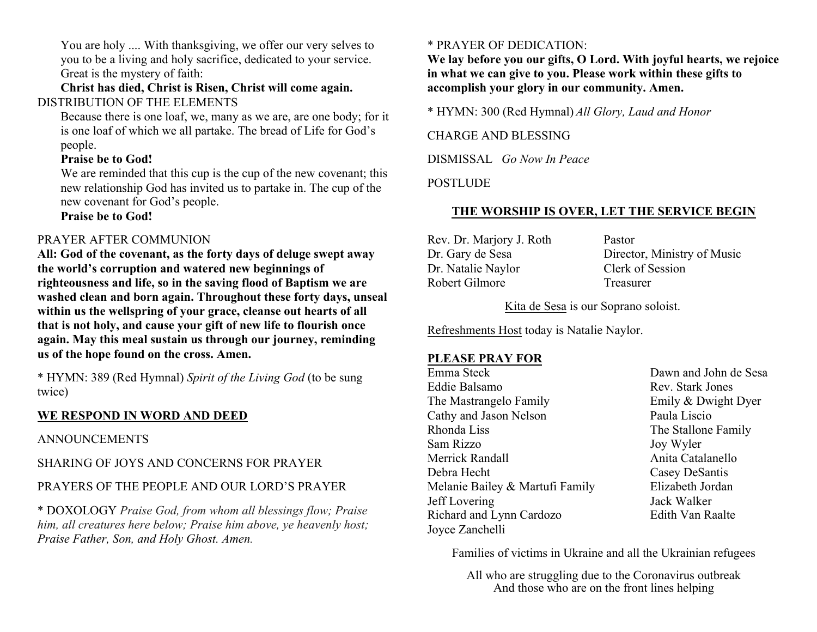You are holy .... With thanksgiving, we offer our very selves to you to be a living and holy sacrifice, dedicated to your service. Great is the mystery of faith:

**Christ has died, Christ is Risen, Christ will come again.** DISTRIBUTION OF THE ELEMENTS

Because there is one loaf, we, many as we are, are one body; for it is one loaf of which we all partake. The bread of Life for God's people.

## **Praise be to God!**

We are reminded that this cup is the cup of the new covenant; this new relationship God has invited us to partake in. The cup of the new covenant for God's people.

**Praise be to God!**

## PRAYER AFTER COMMUNION

**All: God of the covenant, as the forty days of deluge swept away the world's corruption and watered new beginnings of righteousness and life, so in the saving flood of Baptism we are washed clean and born again. Throughout these forty days, unseal within us the wellspring of your grace, cleanse out hearts of all that is not holy, and cause your gift of new life to flourish once again. May this meal sustain us through our journey, reminding us of the hope found on the cross. Amen.**

\* HYMN: 389 (Red Hymnal) *Spirit of the Living God* (to be sung twice)

# **WE RESPOND IN WORD AND DEED**

#### ANNOUNCEMENTS

SHARING OF JOYS AND CONCERNS FOR PRAYER

# PRAYERS OF THE PEOPLE AND OUR LORD'S PRAYER

\* DOXOLOGY *Praise God, from whom all blessings flow; Praise him, all creatures here below; Praise him above, ye heavenly host; Praise Father, Son, and Holy Ghost. Amen.*

# \* PRAYER OF DEDICATION:

**We lay before you our gifts, O Lord. With joyful hearts, we rejoice in what we can give to you. Please work within these gifts to accomplish your glory in our community. Amen.**

\* HYMN: 300 (Red Hymnal) *All Glory, Laud and Honor*

CHARGE AND BLESSING

DISMISSAL *Go Now In Peace*

POSTLUDE

## **THE WORSHIP IS OVER, LET THE SERVICE BEGIN**

Rev. Dr. Marjory J. Roth Pastor Dr. Natalie Naylor Clerk of Session Robert Gilmore Treasurer

Dr. Gary de Sesa Director, Ministry of Music

Kita de Sesa is our Soprano soloist.

Refreshments Host today is Natalie Naylor.

#### **PLEASE PRAY FOR**

Emma Steck Dawn and John de Sesa Eddie Balsamo Rev. Stark Jones The Mastrangelo Family **Emily & Dwight Dyer** Cathy and Jason Nelson Paula Liscio Rhonda Liss The Stallone Family Sam Rizzo Joy Wyler Merrick Randall **Anita Catalanello** Debra Hecht Casey DeSantis Melanie Bailey & Martufi Family Elizabeth Jordan Jeff Lovering Jack Walker Richard and Lynn Cardozo **Edith Van Raalte** Joyce Zanchelli

Families of victims in Ukraine and all the Ukrainian refugees

All who are struggling due to the Coronavirus outbreak And those who are on the front lines helping